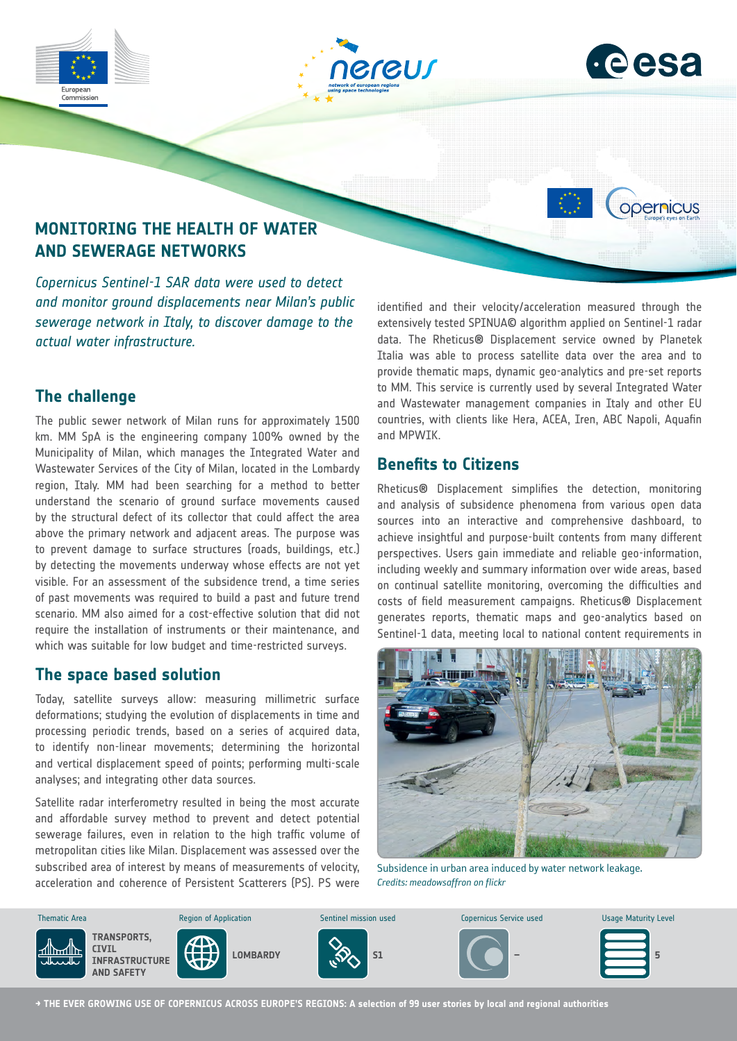



opernicus

# **MONITORING THE HEALTH OF WATER AND SEWERAGE NETWORKS**

*Copernicus Sentinel-1 SAR data were used to detect and monitor ground displacements near Milan's public sewerage network in Italy, to discover damage to the actual water infrastructure.*

### **The challenge**

The public sewer network of Milan runs for approximately 1500 km. MM SpA is the engineering company 100% owned by the Municipality of Milan, which manages the Integrated Water and Wastewater Services of the City of Milan, located in the Lombardy region, Italy. MM had been searching for a method to better understand the scenario of ground surface movements caused by the structural defect of its collector that could affect the area above the primary network and adjacent areas. The purpose was to prevent damage to surface structures (roads, buildings, etc.) by detecting the movements underway whose effects are not yet visible. For an assessment of the subsidence trend, a time series of past movements was required to build a past and future trend scenario. MM also aimed for a cost-effective solution that did not require the installation of instruments or their maintenance, and which was suitable for low budget and time-restricted surveys.

### **The space based solution**

Today, satellite surveys allow: measuring millimetric surface deformations; studying the evolution of displacements in time and processing periodic trends, based on a series of acquired data, to identify non-linear movements; determining the horizontal and vertical displacement speed of points; performing multi-scale analyses; and integrating other data sources.

Satellite radar interferometry resulted in being the most accurate and affordable survey method to prevent and detect potential sewerage failures, even in relation to the high traffic volume of metropolitan cities like Milan. Displacement was assessed over the subscribed area of interest by means of measurements of velocity, acceleration and coherence of Persistent Scatterers (PS). PS were identified and their velocity/acceleration measured through the extensively tested SPINUA© algorithm applied on Sentinel-1 radar data. The Rheticus® Displacement service owned by Planetek Italia was able to process satellite data over the area and to provide thematic maps, dynamic geo-analytics and pre-set reports to MM. This service is currently used by several Integrated Water and Wastewater management companies in Italy and other EU countries, with clients like Hera, ACEA, Iren, ABC Napoli, Aquafin and MPWIK.

## **Benefits to Citizens**

Rheticus® Displacement simplifies the detection, monitoring and analysis of subsidence phenomena from various open data sources into an interactive and comprehensive dashboard, to achieve insightful and purpose-built contents from many different perspectives. Users gain immediate and reliable geo-information, including weekly and summary information over wide areas, based on continual satellite monitoring, overcoming the difficulties and costs of field measurement campaigns. Rheticus® Displacement generates reports, thematic maps and geo-analytics based on Sentinel-1 data, meeting local to national content requirements in



Subsidence in urban area induced by water network leakage. **Credits: meadowsaffron on flickr** 



**→ THE EVER GROWING USE OF COPERNICUS ACROSS EUROPE'S REGIONS: A selection of 99 user stories by local and regional authorities**